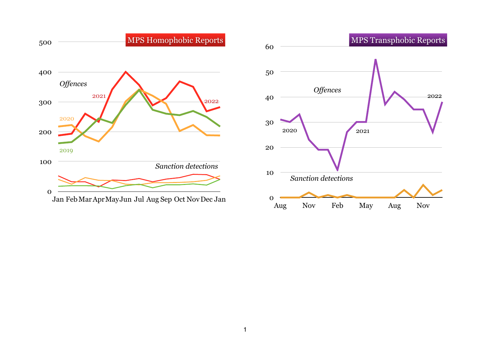## MPS Homophobic Reports